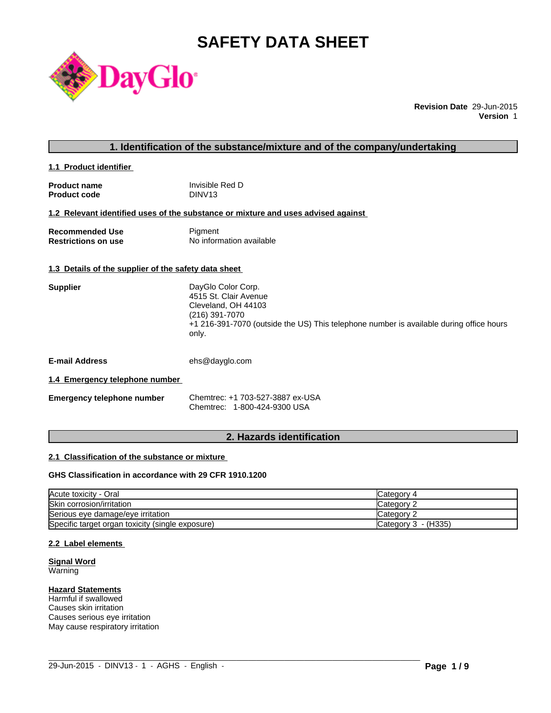# **SAFETY DATA SHEET**



**Revision Date** 29-Jun-2015 **Version** 1

# **1. Identification of the substance/mixture and of the company/undertaking**

**1.1 Product identifier** 

| <b>Product name</b> | Invisible Red D    |
|---------------------|--------------------|
| <b>Product code</b> | DINV <sub>13</sub> |

#### **1.2 Relevant identified uses of the substance or mixture and uses advised against**

| <b>Recommended Use</b>     | Pigment                  |
|----------------------------|--------------------------|
| <b>Restrictions on use</b> | No information available |

#### **1.3 Details of the supplier of the safety data sheet**

| +1 216-391-7070 (outside the US) This telephone number is available during office hours |
|-----------------------------------------------------------------------------------------|
|                                                                                         |

**E-mail Address** ehs@dayglo.com

#### **1.4 Emergency telephone number**

| <b>Emergency telephone number</b> | Chemtrec: +1 703-527-3887 ex-USA |
|-----------------------------------|----------------------------------|
|                                   | Chemtrec: 1-800-424-9300 USA     |

# **2. Hazards identification**

#### **2.1 Classification of the substance or mixture**

### **GHS Classification in accordance with 29 CFR 1910.1200**

| Acute toxicity - Oral                            | Category 4            |
|--------------------------------------------------|-----------------------|
| Skin corrosion/irritation                        | Category 2            |
| Serious eye damage/eye irritation                | Category 2            |
| Specific target organ toxicity (single exposure) | Category $3 - (H335)$ |

 $\_$  ,  $\_$  ,  $\_$  ,  $\_$  ,  $\_$  ,  $\_$  ,  $\_$  ,  $\_$  ,  $\_$  ,  $\_$  ,  $\_$  ,  $\_$  ,  $\_$  ,  $\_$  ,  $\_$  ,  $\_$  ,  $\_$  ,  $\_$  ,  $\_$  ,  $\_$  ,  $\_$  ,  $\_$  ,  $\_$  ,  $\_$  ,  $\_$  ,  $\_$  ,  $\_$  ,  $\_$  ,  $\_$  ,  $\_$  ,  $\_$  ,  $\_$  ,  $\_$  ,  $\_$  ,  $\_$  ,  $\_$  ,  $\_$  ,

## **2.2 Label elements**

**Signal Word Warning** 

#### **Hazard Statements**

Harmful if swallowed Causes skin irritation Causes serious eye irritation May cause respiratory irritation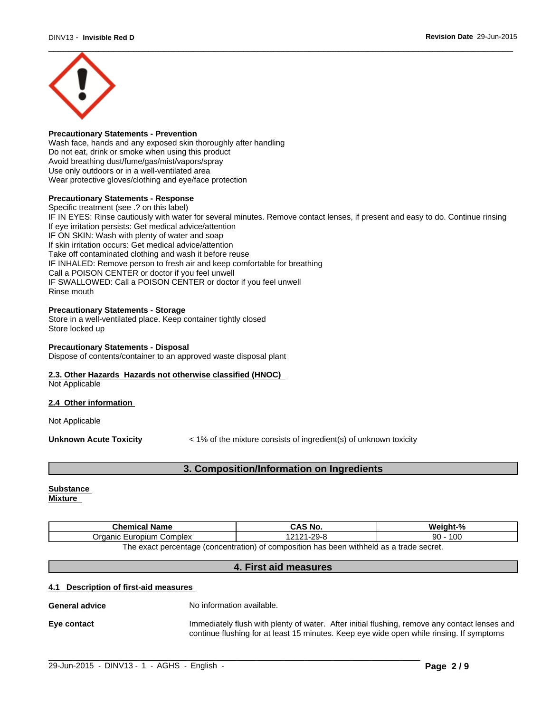

#### **Precautionary Statements - Prevention**

Wash face, hands and any exposed skin thoroughly after handling Do not eat, drink or smoke when using this product Avoid breathing dust/fume/gas/mist/vapors/spray Use only outdoors or in a well-ventilated area Wear protective gloves/clothing and eye/face protection

#### **Precautionary Statements - Response**

Specific treatment (see .? on this label) IF IN EYES: Rinse cautiously with water for several minutes. Remove contact lenses, if present and easy to do. Continue rinsing If eye irritation persists: Get medical advice/attention IF ON SKIN: Wash with plenty of water and soap If skin irritation occurs: Get medical advice/attention Take off contaminated clothing and wash it before reuse IF INHALED: Remove person to fresh air and keep comfortable for breathing Call a POISON CENTER or doctor if you feel unwell IF SWALLOWED: Call a POISON CENTER or doctor if you feel unwell Rinse mouth

#### **Precautionary Statements - Storage**

Store in a well-ventilated place. Keep container tightly closed Store locked up

#### **Precautionary Statements - Disposal**

Dispose of contents/container to an approved waste disposal plant

# **2.3. Other Hazards Hazards not otherwise classified (HNOC)**

Not Applicable

#### **2.4 Other information**

Not Applicable

**Unknown Acute Toxicity**  $\lt$  1% of the mixture consists of ingredient(s) of unknown toxicity

# **3. Composition/Information on Ingredients**

#### **Substance Mixture**

| <b>Chemical Name</b>                                                                     | CAS No.            | Weight-%  |
|------------------------------------------------------------------------------------------|--------------------|-----------|
| Organic Europium Complex                                                                 | 2121-29-8<br>12121 | 100<br>90 |
| The exact percentage (concentration) of composition has been withheld as a trade secret. |                    |           |

# **4. First aid measures**

#### **4.1 Description of first-aid measures**

**General advice** No information available.

**Eye contact Immediately flush with plenty of water.** After initial flushing, remove any contact lenses and continue flushing for at least 15 minutes. Keep eye wide open while rinsing. If symptoms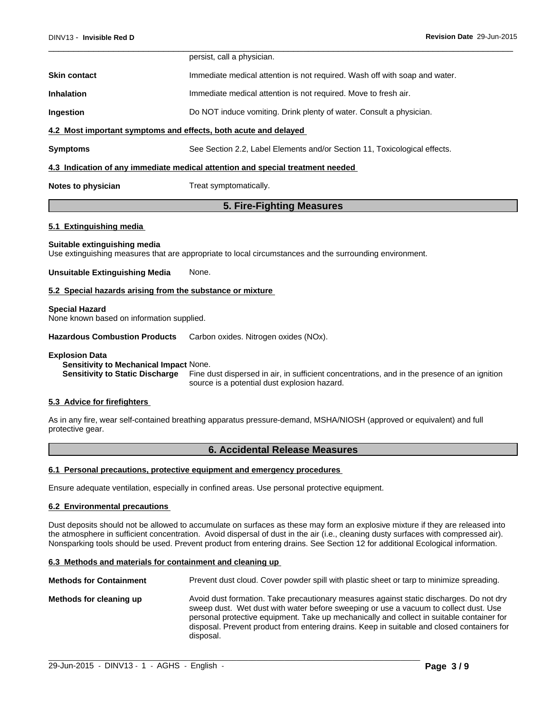|                                                                                | persist, call a physician.                                                 |  |
|--------------------------------------------------------------------------------|----------------------------------------------------------------------------|--|
| <b>Skin contact</b>                                                            | Immediate medical attention is not required. Wash off with soap and water. |  |
| <b>Inhalation</b>                                                              | Immediate medical attention is not required. Move to fresh air.            |  |
| Ingestion                                                                      | Do NOT induce vomiting. Drink plenty of water. Consult a physician.        |  |
| 4.2 Most important symptoms and effects, both acute and delayed                |                                                                            |  |
| <b>Symptoms</b>                                                                | See Section 2.2, Label Elements and/or Section 11, Toxicological effects.  |  |
| 4.3 Indication of any immediate medical attention and special treatment needed |                                                                            |  |
| Notes to physician                                                             | Treat symptomatically.                                                     |  |
| 5. Fire-Fighting Measures                                                      |                                                                            |  |
| 5.1 Extinguishing media                                                        |                                                                            |  |

#### **Suitable extinguishing media**

Use extinguishing measures that are appropriate to local circumstances and the surrounding environment.

#### **Unsuitable Extinguishing Media** None.

#### **5.2 Special hazards arising from the substance or mixture**

#### **Special Hazard**

None known based on information supplied.

**Hazardous Combustion Products** Carbon oxides. Nitrogen oxides (NOx).

#### **Explosion Data**

**Sensitivity to Mechanical Impact** None.

**Sensitivity to Static Discharge** Fine dust dispersed in air, in sufficient concentrations, and in the presence of an ignition source is a potential dust explosion hazard.

#### **5.3 Advice for firefighters**

As in any fire, wear self-contained breathing apparatus pressure-demand, MSHA/NIOSH (approved or equivalent) and full protective gear.

### **6. Accidental Release Measures**

#### **6.1 Personal precautions, protective equipment and emergency procedures**

Ensure adequate ventilation, especially in confined areas. Use personal protective equipment.

#### **6.2 Environmental precautions**

Dust deposits should not be allowed to accumulate on surfaces as these may form an explosive mixture if they are released into the atmosphere in sufficient concentration. Avoid dispersal of dust in the air (i.e., cleaning dusty surfaces with compressed air). Nonsparking tools should be used. Prevent product from entering drains. See Section 12 for additional Ecological information.

#### **6.3 Methods and materials for containment and cleaning up**

**Methods for Containment** Prevent dust cloud. Cover powder spill with plastic sheet or tarp to minimize spreading. **Methods for cleaning up** Avoid dust formation. Take precautionary measures against static discharges. Do not dry sweep dust. Wet dust with water before sweeping or use a vacuum to collect dust. Use personal protective equipment. Take up mechanically and collect in suitable container for disposal. Prevent product from entering drains. Keep in suitable and closed containers for disposal.

 $\_$  ,  $\_$  ,  $\_$  ,  $\_$  ,  $\_$  ,  $\_$  ,  $\_$  ,  $\_$  ,  $\_$  ,  $\_$  ,  $\_$  ,  $\_$  ,  $\_$  ,  $\_$  ,  $\_$  ,  $\_$  ,  $\_$  ,  $\_$  ,  $\_$  ,  $\_$  ,  $\_$  ,  $\_$  ,  $\_$  ,  $\_$  ,  $\_$  ,  $\_$  ,  $\_$  ,  $\_$  ,  $\_$  ,  $\_$  ,  $\_$  ,  $\_$  ,  $\_$  ,  $\_$  ,  $\_$  ,  $\_$  ,  $\_$  ,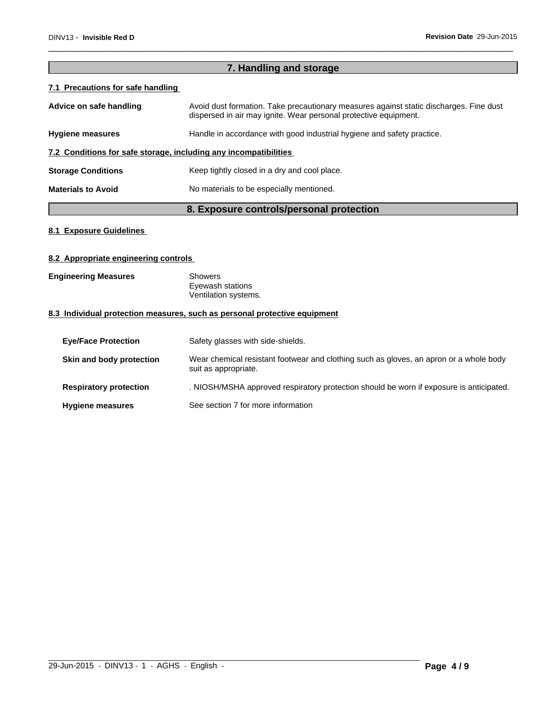# **7. Handling and storage 7.1 Precautions for safe handling** Advice on safe handling **Avoid dust formation. Take precautionary measures against static discharges. Fine dust** dispersed in air may ignite. Wear personal protective equipment. Hygiene measures **Handle** in accordance with good industrial hygiene and safety practice. **7.2 Conditions for safe storage, including any incompatibilities Storage Conditions** Keep tightly closed in a dry and cool place. **Materials to Avoid** No materials to be especially mentioned.

**8. Exposure controls/personal protection**

# **8.1 Exposure Guidelines**

#### **8.2 Appropriate engineering controls**

| <b>Engineering Measures</b> | Showers              |  |
|-----------------------------|----------------------|--|
|                             | Eyewash stations     |  |
|                             | Ventilation systems. |  |

### **8.3 Individual protection measures, such as personal protective equipment**

| <b>Eye/Face Protection</b>    | Safety glasses with side-shields.                                                                              |
|-------------------------------|----------------------------------------------------------------------------------------------------------------|
| Skin and body protection      | Wear chemical resistant footwear and clothing such as gloves, an apron or a whole body<br>suit as appropriate. |
| <b>Respiratory protection</b> | . NIOSH/MSHA approved respiratory protection should be worn if exposure is anticipated.                        |
| <b>Hygiene measures</b>       | See section 7 for more information                                                                             |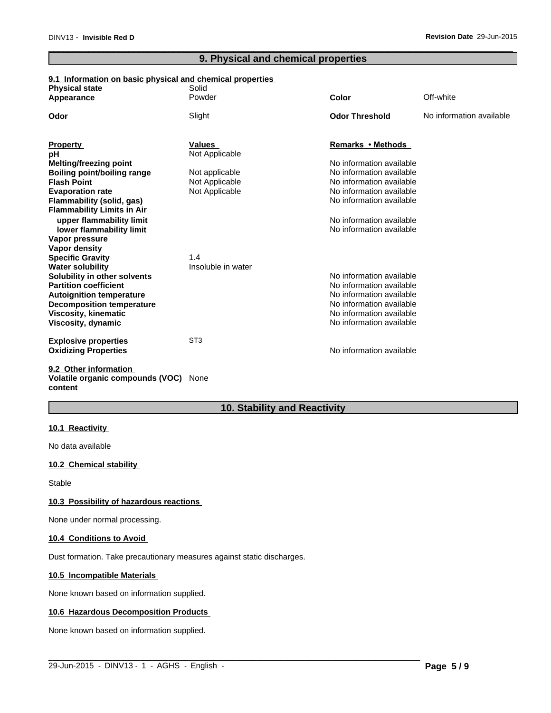# **9. Physical and chemical properties**

# **9.1 Information on basic physical and chemical properties**

| Off-white<br>Powder<br>Color<br>Appearance<br><b>Odor Threshold</b><br>Odor<br>Slight<br>No information available<br>Remarks • Methods<br><b>Property</b><br>Values<br>Not Applicable<br>pH<br>No information available<br><b>Melting/freezing point</b><br>No information available<br>Boiling point/boiling range<br>Not applicable<br>Not Applicable<br>No information available<br><b>Flash Point</b><br>Not Applicable<br>No information available<br><b>Evaporation rate</b><br>No information available<br>Flammability (solid, gas)<br><b>Flammability Limits in Air</b><br>upper flammability limit<br>No information available<br>No information available<br>lower flammability limit<br>Vapor pressure<br>Vapor density<br><b>Specific Gravity</b><br>1.4<br><b>Water solubility</b><br>Insoluble in water<br>No information available<br>Solubility in other solvents<br><b>Partition coefficient</b><br>No information available<br>No information available<br><b>Autoignition temperature</b><br>No information available<br><b>Decomposition temperature</b><br><b>Viscosity, kinematic</b><br>No information available<br>No information available<br>Viscosity, dynamic<br>ST <sub>3</sub><br><b>Explosive properties</b><br>No information available<br><b>Oxidizing Properties</b><br>9.2 Other information | <b>Physical state</b> | Solid |  |
|----------------------------------------------------------------------------------------------------------------------------------------------------------------------------------------------------------------------------------------------------------------------------------------------------------------------------------------------------------------------------------------------------------------------------------------------------------------------------------------------------------------------------------------------------------------------------------------------------------------------------------------------------------------------------------------------------------------------------------------------------------------------------------------------------------------------------------------------------------------------------------------------------------------------------------------------------------------------------------------------------------------------------------------------------------------------------------------------------------------------------------------------------------------------------------------------------------------------------------------------------------------------------------------------------------------------------------|-----------------------|-------|--|
|                                                                                                                                                                                                                                                                                                                                                                                                                                                                                                                                                                                                                                                                                                                                                                                                                                                                                                                                                                                                                                                                                                                                                                                                                                                                                                                                  |                       |       |  |
|                                                                                                                                                                                                                                                                                                                                                                                                                                                                                                                                                                                                                                                                                                                                                                                                                                                                                                                                                                                                                                                                                                                                                                                                                                                                                                                                  |                       |       |  |
|                                                                                                                                                                                                                                                                                                                                                                                                                                                                                                                                                                                                                                                                                                                                                                                                                                                                                                                                                                                                                                                                                                                                                                                                                                                                                                                                  |                       |       |  |
|                                                                                                                                                                                                                                                                                                                                                                                                                                                                                                                                                                                                                                                                                                                                                                                                                                                                                                                                                                                                                                                                                                                                                                                                                                                                                                                                  |                       |       |  |
|                                                                                                                                                                                                                                                                                                                                                                                                                                                                                                                                                                                                                                                                                                                                                                                                                                                                                                                                                                                                                                                                                                                                                                                                                                                                                                                                  |                       |       |  |
|                                                                                                                                                                                                                                                                                                                                                                                                                                                                                                                                                                                                                                                                                                                                                                                                                                                                                                                                                                                                                                                                                                                                                                                                                                                                                                                                  |                       |       |  |
|                                                                                                                                                                                                                                                                                                                                                                                                                                                                                                                                                                                                                                                                                                                                                                                                                                                                                                                                                                                                                                                                                                                                                                                                                                                                                                                                  |                       |       |  |
|                                                                                                                                                                                                                                                                                                                                                                                                                                                                                                                                                                                                                                                                                                                                                                                                                                                                                                                                                                                                                                                                                                                                                                                                                                                                                                                                  |                       |       |  |
|                                                                                                                                                                                                                                                                                                                                                                                                                                                                                                                                                                                                                                                                                                                                                                                                                                                                                                                                                                                                                                                                                                                                                                                                                                                                                                                                  |                       |       |  |
|                                                                                                                                                                                                                                                                                                                                                                                                                                                                                                                                                                                                                                                                                                                                                                                                                                                                                                                                                                                                                                                                                                                                                                                                                                                                                                                                  |                       |       |  |
|                                                                                                                                                                                                                                                                                                                                                                                                                                                                                                                                                                                                                                                                                                                                                                                                                                                                                                                                                                                                                                                                                                                                                                                                                                                                                                                                  |                       |       |  |
|                                                                                                                                                                                                                                                                                                                                                                                                                                                                                                                                                                                                                                                                                                                                                                                                                                                                                                                                                                                                                                                                                                                                                                                                                                                                                                                                  |                       |       |  |
|                                                                                                                                                                                                                                                                                                                                                                                                                                                                                                                                                                                                                                                                                                                                                                                                                                                                                                                                                                                                                                                                                                                                                                                                                                                                                                                                  |                       |       |  |
|                                                                                                                                                                                                                                                                                                                                                                                                                                                                                                                                                                                                                                                                                                                                                                                                                                                                                                                                                                                                                                                                                                                                                                                                                                                                                                                                  |                       |       |  |
|                                                                                                                                                                                                                                                                                                                                                                                                                                                                                                                                                                                                                                                                                                                                                                                                                                                                                                                                                                                                                                                                                                                                                                                                                                                                                                                                  |                       |       |  |
|                                                                                                                                                                                                                                                                                                                                                                                                                                                                                                                                                                                                                                                                                                                                                                                                                                                                                                                                                                                                                                                                                                                                                                                                                                                                                                                                  |                       |       |  |
|                                                                                                                                                                                                                                                                                                                                                                                                                                                                                                                                                                                                                                                                                                                                                                                                                                                                                                                                                                                                                                                                                                                                                                                                                                                                                                                                  |                       |       |  |
|                                                                                                                                                                                                                                                                                                                                                                                                                                                                                                                                                                                                                                                                                                                                                                                                                                                                                                                                                                                                                                                                                                                                                                                                                                                                                                                                  |                       |       |  |
|                                                                                                                                                                                                                                                                                                                                                                                                                                                                                                                                                                                                                                                                                                                                                                                                                                                                                                                                                                                                                                                                                                                                                                                                                                                                                                                                  |                       |       |  |
|                                                                                                                                                                                                                                                                                                                                                                                                                                                                                                                                                                                                                                                                                                                                                                                                                                                                                                                                                                                                                                                                                                                                                                                                                                                                                                                                  |                       |       |  |
|                                                                                                                                                                                                                                                                                                                                                                                                                                                                                                                                                                                                                                                                                                                                                                                                                                                                                                                                                                                                                                                                                                                                                                                                                                                                                                                                  |                       |       |  |
|                                                                                                                                                                                                                                                                                                                                                                                                                                                                                                                                                                                                                                                                                                                                                                                                                                                                                                                                                                                                                                                                                                                                                                                                                                                                                                                                  |                       |       |  |
|                                                                                                                                                                                                                                                                                                                                                                                                                                                                                                                                                                                                                                                                                                                                                                                                                                                                                                                                                                                                                                                                                                                                                                                                                                                                                                                                  |                       |       |  |
|                                                                                                                                                                                                                                                                                                                                                                                                                                                                                                                                                                                                                                                                                                                                                                                                                                                                                                                                                                                                                                                                                                                                                                                                                                                                                                                                  |                       |       |  |
|                                                                                                                                                                                                                                                                                                                                                                                                                                                                                                                                                                                                                                                                                                                                                                                                                                                                                                                                                                                                                                                                                                                                                                                                                                                                                                                                  |                       |       |  |

**Volatile organic compounds (VOC)** None **content**

# **10. Stability and Reactivity**

 $\_$  ,  $\_$  ,  $\_$  ,  $\_$  ,  $\_$  ,  $\_$  ,  $\_$  ,  $\_$  ,  $\_$  ,  $\_$  ,  $\_$  ,  $\_$  ,  $\_$  ,  $\_$  ,  $\_$  ,  $\_$  ,  $\_$  ,  $\_$  ,  $\_$  ,  $\_$  ,  $\_$  ,  $\_$  ,  $\_$  ,  $\_$  ,  $\_$  ,  $\_$  ,  $\_$  ,  $\_$  ,  $\_$  ,  $\_$  ,  $\_$  ,  $\_$  ,  $\_$  ,  $\_$  ,  $\_$  ,  $\_$  ,  $\_$  ,

### **10.1 Reactivity**

No data available

### **10.2 Chemical stability**

**Stable** 

#### **10.3 Possibility of hazardous reactions**

None under normal processing.

#### **10.4 Conditions to Avoid**

Dust formation. Take precautionary measures against static discharges.

#### **10.5 Incompatible Materials**

None known based on information supplied.

#### **10.6 Hazardous Decomposition Products**

None known based on information supplied.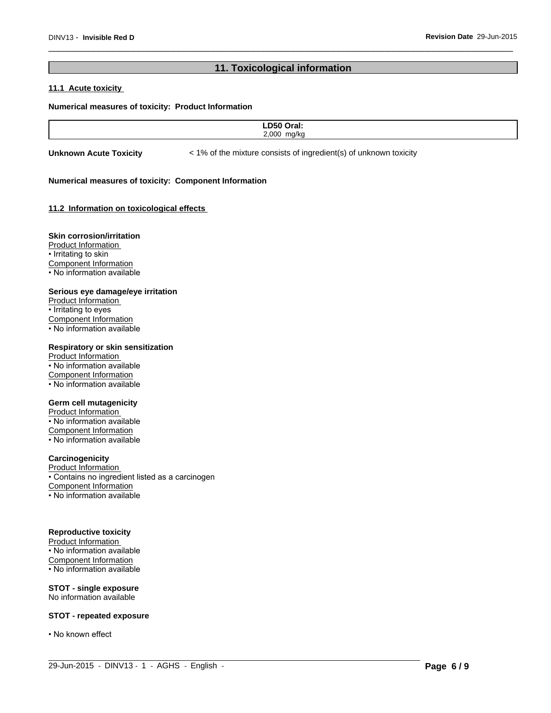# **11. Toxicological information**

### **11.1 Acute toxicity**

#### **Numerical measures of toxicity: Product Information**

| -- -        |  |
|-------------|--|
| חח ג<br>,,, |  |
|             |  |

 $\_$  ,  $\_$  ,  $\_$  ,  $\_$  ,  $\_$  ,  $\_$  ,  $\_$  ,  $\_$  ,  $\_$  ,  $\_$  ,  $\_$  ,  $\_$  ,  $\_$  ,  $\_$  ,  $\_$  ,  $\_$  ,  $\_$  ,  $\_$  ,  $\_$  ,  $\_$  ,  $\_$  ,  $\_$  ,  $\_$  ,  $\_$  ,  $\_$  ,  $\_$  ,  $\_$  ,  $\_$  ,  $\_$  ,  $\_$  ,  $\_$  ,  $\_$  ,  $\_$  ,  $\_$  ,  $\_$  ,  $\_$  ,  $\_$  ,

**Unknown Acute Toxicity**  $\lt$  1% of the mixture consists of ingredient(s) of unknown toxicity

#### **Numerical measures of toxicity: Component Information**

#### **11.2 Information on toxicologicaleffects**

#### **Skin corrosion/irritation**

Product Information • Irritating to skin Component Information • No information available

#### **Serious eye damage/eye irritation**

Product Information • Irritating to eyes Component Information • No information available

#### **Respiratory or skin sensitization**

Product Information • No information available Component Information • No information available

#### **Germ cell mutagenicity**

Product Information • No information available Component Information • No information available

#### **Carcinogenicity**

Product Information • Contains no ingredient listed as a carcinogen Component Information • No information available

#### **Reproductive toxicity**

Product Information • No information available Component Information • No information available

**STOT - single exposure** No information available

#### **STOT - repeated exposure**

• No known effect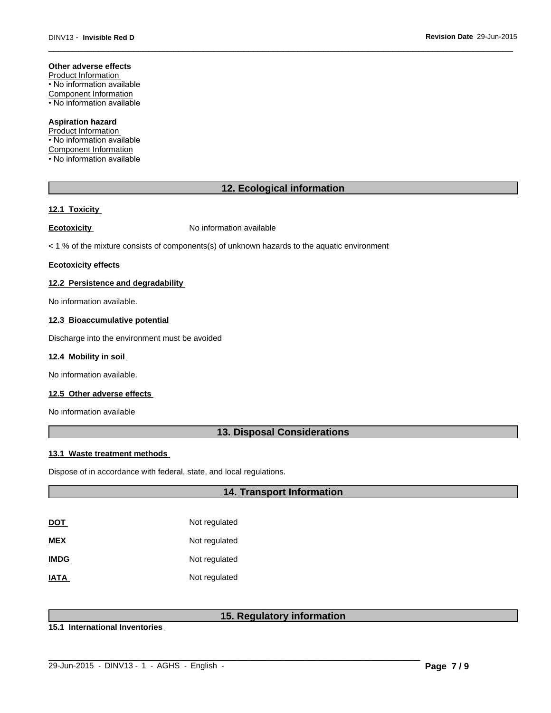#### **Other adverse effects**

Product Information • No information available Component Information • No information available

#### **Aspiration hazard**

Product Information • No information available Component Information • No information available

# **12. Ecological information**

#### **12.1 Toxicity**

**Ecotoxicity No information available** 

 $<$  1 % of the mixture consists of components(s) of unknown hazards to the aquatic environment

#### **Ecotoxicity effects**

#### **12.2 Persistence and degradability**

No information available.

#### **12.3 Bioaccumulative potential**

Discharge into the environment must be avoided

#### **12.4 Mobility in soil**

No information available.

#### **12.5 Other adverse effects**

No information available

### **13. Disposal Considerations**

#### **13.1 Waste treatment methods**

Dispose of in accordance with federal, state, and local regulations.

### **14. Transport Information**

| DOT         | Not regulated |
|-------------|---------------|
| MEX         | Not regulated |
| <b>IMDG</b> | Not regulated |
| IATA        | Not regulated |

# **15. Regulatory information**

 $\_$  ,  $\_$  ,  $\_$  ,  $\_$  ,  $\_$  ,  $\_$  ,  $\_$  ,  $\_$  ,  $\_$  ,  $\_$  ,  $\_$  ,  $\_$  ,  $\_$  ,  $\_$  ,  $\_$  ,  $\_$  ,  $\_$  ,  $\_$  ,  $\_$  ,  $\_$  ,  $\_$  ,  $\_$  ,  $\_$  ,  $\_$  ,  $\_$  ,  $\_$  ,  $\_$  ,  $\_$  ,  $\_$  ,  $\_$  ,  $\_$  ,  $\_$  ,  $\_$  ,  $\_$  ,  $\_$  ,  $\_$  ,  $\_$  ,

**15.1 International Inventories**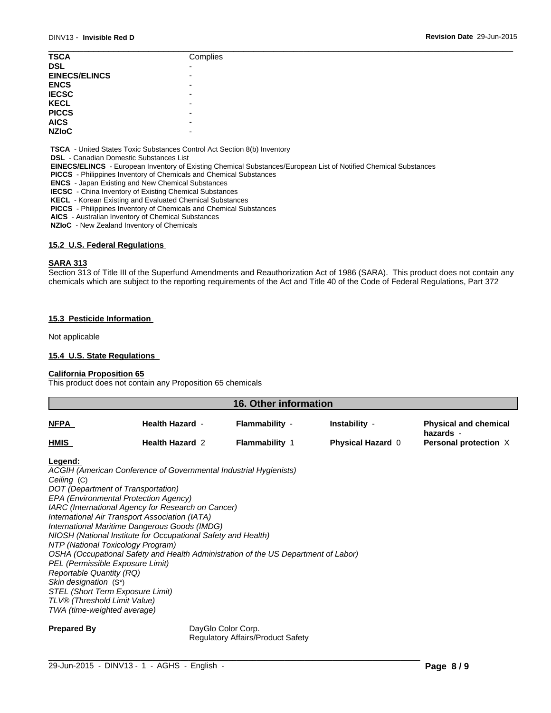| <b>TSCA</b>          | Complies |
|----------------------|----------|
| <b>DSL</b>           | -        |
| <b>EINECS/ELINCS</b> | -        |
| <b>ENCS</b>          | -        |
| <b>IECSC</b>         | -        |
| <b>KECL</b>          | -        |
| <b>PICCS</b>         | -        |
| <b>AICS</b>          | -        |
| <b>NZIoC</b>         | -        |
|                      |          |

 **TSCA** - United States Toxic Substances Control Act Section 8(b) Inventory

 **DSL** - Canadian Domestic Substances List

 **EINECS/ELINCS** - European Inventory of Existing Chemical Substances/European List of Notified Chemical Substances

 **PICCS** - Philippines Inventory of Chemicals and Chemical Substances

 **ENCS** - Japan Existing and New Chemical Substances

 **IECSC** - China Inventory of Existing Chemical Substances

 **KECL** - Korean Existing and Evaluated Chemical Substances

 **PICCS** - Philippines Inventory of Chemicals and Chemical Substances

 **AICS** - Australian Inventory of Chemical Substances

 **NZIoC** - New Zealand Inventory of Chemicals

### **15.2 U.S. Federal Regulations**

#### **SARA 313**

Section 313 of Title III of the Superfund Amendments and Reauthorization Act of 1986 (SARA). This product does not contain any chemicals which are subject to the reporting requirements of the Act and Title 40 of the Code of Federal Regulations, Part 372

#### **15.3 Pesticide Information**

Not applicable

#### **15.4 U.S. State Regulations**

#### **California Proposition 65**

This product does not contain any Proposition 65 chemicals

| 16. Other information |                        |                       |                          |                                           |  |
|-----------------------|------------------------|-----------------------|--------------------------|-------------------------------------------|--|
| <b>NFPA</b>           | <b>Health Hazard -</b> | Flammability -        | Instability -            | <b>Physical and chemical</b><br>hazards - |  |
| <b>HMIS</b>           | <b>Health Hazard 2</b> | <b>Flammability 1</b> | <b>Physical Hazard 0</b> | Personal protection X                     |  |
| the company of the    |                        |                       |                          |                                           |  |

#### **Legend:**

*ACGIH (American Conference of Governmental Industrial Hygienists) Ceiling* (C) *DOT (Department of Transportation) EPA (Environmental Protection Agency) IARC (International Agency for Research on Cancer) International Air Transport Association (IATA) International Maritime Dangerous Goods (IMDG) NIOSH (National Institute for Occupational Safety and Health) NTP (National Toxicology Program) OSHA (Occupational Safety and Health Administration of the US Department of Labor) PEL (Permissible Exposure Limit) Reportable Quantity (RQ) Skin designation* (S\*) *STEL (Short Term Exposure Limit) TLV® (Threshold Limit Value) TWA (time-weighted average)*

**Prepared By** DayGlo Color Corp. Regulatory Affairs/Product Safety

 $\_$  ,  $\_$  ,  $\_$  ,  $\_$  ,  $\_$  ,  $\_$  ,  $\_$  ,  $\_$  ,  $\_$  ,  $\_$  ,  $\_$  ,  $\_$  ,  $\_$  ,  $\_$  ,  $\_$  ,  $\_$  ,  $\_$  ,  $\_$  ,  $\_$  ,  $\_$  ,  $\_$  ,  $\_$  ,  $\_$  ,  $\_$  ,  $\_$  ,  $\_$  ,  $\_$  ,  $\_$  ,  $\_$  ,  $\_$  ,  $\_$  ,  $\_$  ,  $\_$  ,  $\_$  ,  $\_$  ,  $\_$  ,  $\_$  ,